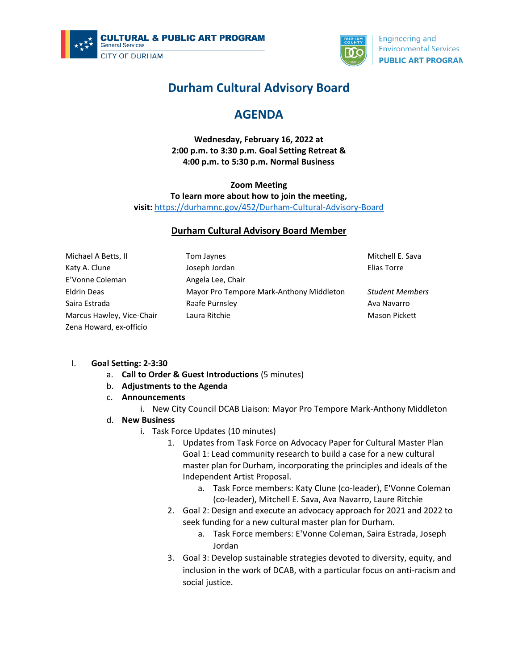



**Engineering and Environmental Services PUBLIC ART PROGRAN** 

# **Durham Cultural Advisory Board**

## **AGENDA**

**Wednesday, February 16, 2022 at 2:00 p.m. to 3:30 p.m. Goal Setting Retreat & 4:00 p.m. to 5:30 p.m. Normal Business**

## **Zoom Meeting**

**To learn more about how to join the meeting,** 

**visit:** <https://durhamnc.gov/452/Durham-Cultural-Advisory-Board>

## **Durham Cultural Advisory Board Member**

Michael A Betts, II Katy A. Clune E'Vonne Coleman Eldrin Deas Saira Estrada Marcus Hawley, Vice-Chair Zena Howard, ex-officio

Tom Jaynes Joseph Jordan Angela Lee, Chair Mayor Pro Tempore Mark-Anthony Middleton Raafe Purnsley Laura Ritchie

Mitchell E. Sava Elias Torre

*Student Members* Ava Navarro Mason Pickett

## I. **Goal Setting: 2-3:30**

- a. **Call to Order & Guest Introductions** (5 minutes)
- b. **Adjustments to the Agenda**
- c. **Announcements**
	- i. New City Council DCAB Liaison: Mayor Pro Tempore Mark-Anthony Middleton
- d. **New Business**
	- i. Task Force Updates (10 minutes)
		- 1. Updates from Task Force on Advocacy Paper for Cultural Master Plan Goal 1: Lead community research to build a case for a new cultural master plan for Durham, incorporating the principles and ideals of the Independent Artist Proposal.
			- a. Task Force members: Katy Clune (co-leader), E'Vonne Coleman (co-leader), Mitchell E. Sava, Ava Navarro, Laure Ritchie
		- 2. Goal 2: Design and execute an advocacy approach for 2021 and 2022 to seek funding for a new cultural master plan for Durham.
			- a. Task Force members: E'Vonne Coleman, Saira Estrada, Joseph Jordan
		- 3. Goal 3: Develop sustainable strategies devoted to diversity, equity, and inclusion in the work of DCAB, with a particular focus on anti-racism and social justice.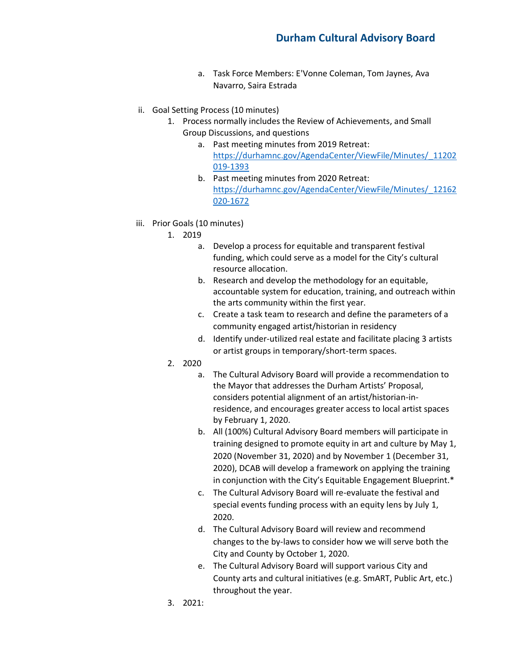- a. Task Force Members: E'Vonne Coleman, Tom Jaynes, Ava Navarro, Saira Estrada
- ii. Goal Setting Process (10 minutes)
	- 1. Process normally includes the Review of Achievements, and Small Group Discussions, and questions
		- a. Past meeting minutes from 2019 Retreat: [https://durhamnc.gov/AgendaCenter/ViewFile/Minutes/\\_11202](https://durhamnc.gov/AgendaCenter/ViewFile/Minutes/_11202019-1393) [019-1393](https://durhamnc.gov/AgendaCenter/ViewFile/Minutes/_11202019-1393)
		- b. Past meeting minutes from 2020 Retreat: [https://durhamnc.gov/AgendaCenter/ViewFile/Minutes/\\_12162](https://durhamnc.gov/AgendaCenter/ViewFile/Minutes/_12162020-1672) [020-1672](https://durhamnc.gov/AgendaCenter/ViewFile/Minutes/_12162020-1672)
- iii. Prior Goals (10 minutes)
	- 1. 2019
		- a. Develop a process for equitable and transparent festival funding, which could serve as a model for the City's cultural resource allocation.
		- b. Research and develop the methodology for an equitable, accountable system for education, training, and outreach within the arts community within the first year.
		- c. Create a task team to research and define the parameters of a community engaged artist/historian in residency
		- d. Identify under-utilized real estate and facilitate placing 3 artists or artist groups in temporary/short-term spaces.
	- 2. 2020
		- a. The Cultural Advisory Board will provide a recommendation to the Mayor that addresses the Durham Artists' Proposal, considers potential alignment of an artist/historian-inresidence, and encourages greater access to local artist spaces by February 1, 2020.
		- b. All (100%) Cultural Advisory Board members will participate in training designed to promote equity in art and culture by May 1, 2020 (November 31, 2020) and by November 1 (December 31, 2020), DCAB will develop a framework on applying the training in conjunction with the City's Equitable Engagement Blueprint.\*
		- c. The Cultural Advisory Board will re-evaluate the festival and special events funding process with an equity lens by July 1, 2020.
		- d. The Cultural Advisory Board will review and recommend changes to the by-laws to consider how we will serve both the City and County by October 1, 2020.
		- e. The Cultural Advisory Board will support various City and County arts and cultural initiatives (e.g. SmART, Public Art, etc.) throughout the year.
	- 3. 2021: